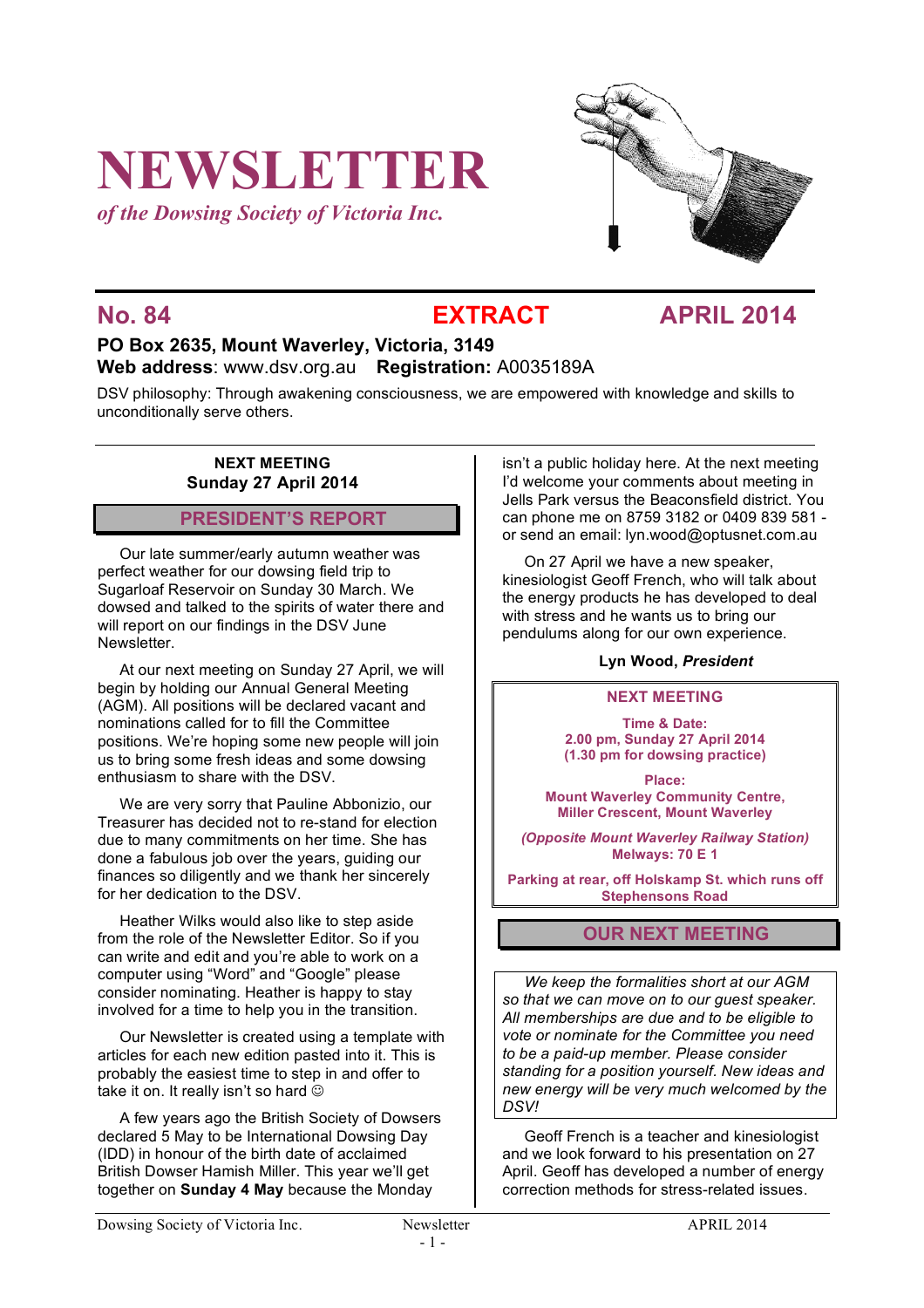# **NEWSLETTER**

*of the Dowsing Society of Victoria Inc.*



## **No. 84 EXTRACT APRIL 2014**

### **PO Box 2635, Mount Waverley, Victoria, 3149 Web address**: www.dsv.org.au **Registration:** A0035189A

DSV philosophy: Through awakening consciousness, we are empowered with knowledge and skills to unconditionally serve others.

#### **NEXT MEETING Sunday 27 April 2014**

### **PRESIDENT'S REPORT**

Our late summer/early autumn weather was perfect weather for our dowsing field trip to Sugarloaf Reservoir on Sunday 30 March. We dowsed and talked to the spirits of water there and will report on our findings in the DSV June Newsletter.

At our next meeting on Sunday 27 April, we will begin by holding our Annual General Meeting (AGM). All positions will be declared vacant and nominations called for to fill the Committee positions. We're hoping some new people will join us to bring some fresh ideas and some dowsing enthusiasm to share with the DSV.

We are very sorry that Pauline Abbonizio, our Treasurer has decided not to re-stand for election due to many commitments on her time. She has done a fabulous job over the years, guiding our finances so diligently and we thank her sincerely for her dedication to the DSV.

Heather Wilks would also like to step aside from the role of the Newsletter Editor. So if you can write and edit and you're able to work on a computer using "Word" and "Google" please consider nominating. Heather is happy to stay involved for a time to help you in the transition.

Our Newsletter is created using a template with articles for each new edition pasted into it. This is probably the easiest time to step in and offer to take it on. It really isn't so hard  $\odot$ 

A few years ago the British Society of Dowsers declared 5 May to be International Dowsing Day (IDD) in honour of the birth date of acclaimed British Dowser Hamish Miller. This year we'll get together on **Sunday 4 May** because the Monday

isn't a public holiday here. At the next meeting I'd welcome your comments about meeting in Jells Park versus the Beaconsfield district. You can phone me on 8759 3182 or 0409 839 581 or send an email: lyn.wood@optusnet.com.au

On 27 April we have a new speaker, kinesiologist Geoff French, who will talk about the energy products he has developed to deal with stress and he wants us to bring our pendulums along for our own experience.

#### **Lyn Wood,** *President*

#### **NEXT MEETING**

**Time & Date: 2.00 pm, Sunday 27 April 2014 (1.30 pm for dowsing practice)**

**Place: Mount Waverley Community Centre, Miller Crescent, Mount Waverley**

*(Opposite Mount Waverley Railway Station)* **Melways: 70 E 1**

**Parking at rear, off Holskamp St. which runs off Stephensons Road**

#### **OUR NEXT MEETING**

*We keep the formalities short at our AGM so that we can move on to our guest speaker. All memberships are due and to be eligible to vote or nominate for the Committee you need to be a paid-up member. Please consider standing for a position yourself. New ideas and new energy will be very much welcomed by the DSV!*

Geoff French is a teacher and kinesiologist and we look forward to his presentation on 27 April. Geoff has developed a number of energy correction methods for stress-related issues.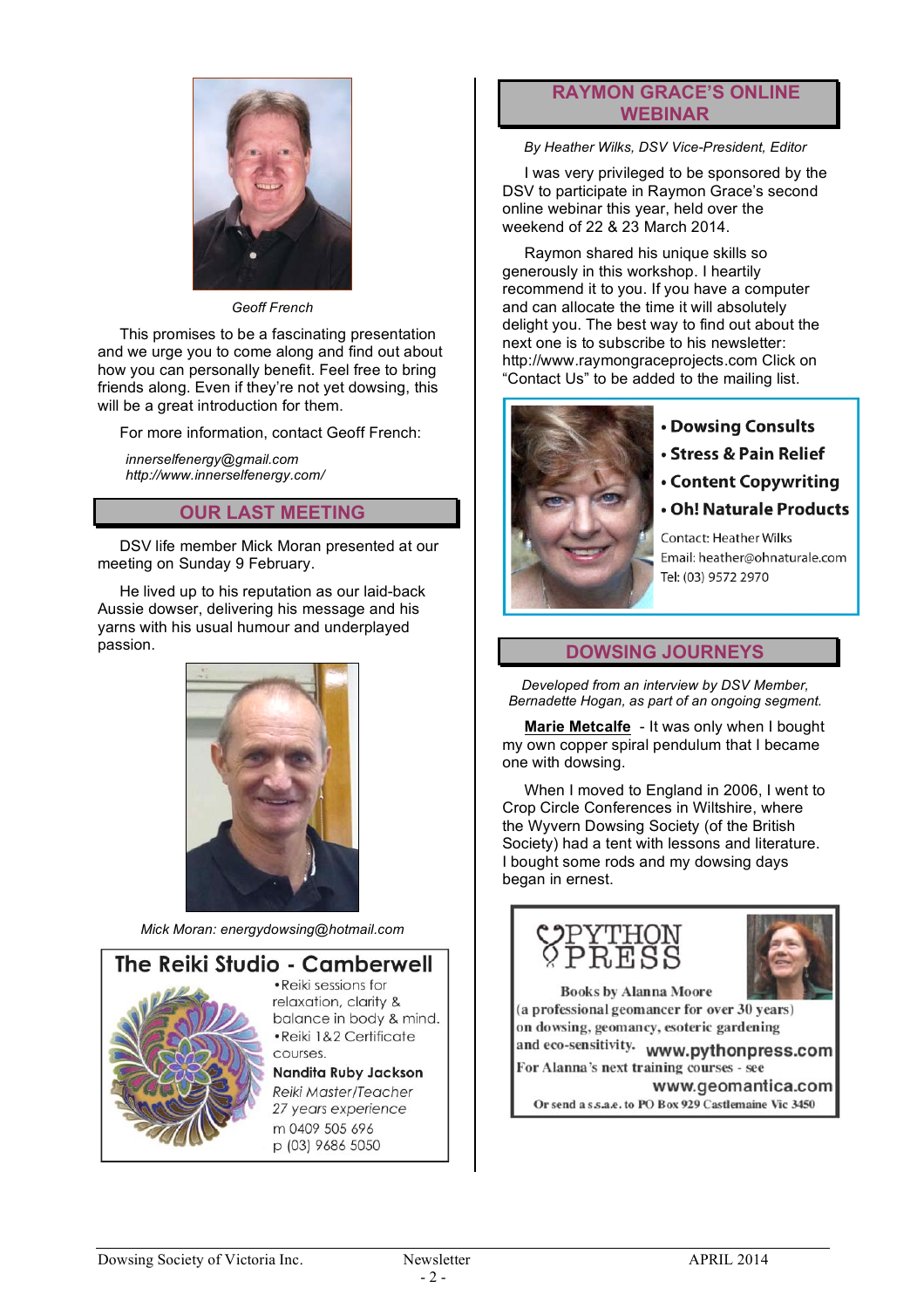

*Geoff French*

This promises to be a fascinating presentation and we urge you to come along and find out about how you can personally benefit. Feel free to bring friends along. Even if they're not yet dowsing, this will be a great introduction for them.

For more information, contact Geoff French:

*innerselfenergy@gmail.com http://www.innerselfenergy.com/*

#### **OUR LAST MEETING**

DSV life member Mick Moran presented at our meeting on Sunday 9 February.

He lived up to his reputation as our laid-back Aussie dowser, delivering his message and his yarns with his usual humour and underplayed passion.



*Mick Moran: energydowsing@hotmail.com*



· Reiki sessions for relaxation, clarity & balance in body & mind. ·Reiki 1&2 Certificate

#### Nandita Ruby Jackson Reiki Master/Teacher 27 years experience m 0409 505 696

p (03) 9686 5050

#### **RAYMON GRACE'S ONLINE WEBINAR**

*By Heather Wilks, DSV Vice-President, Editor*

I was very privileged to be sponsored by the DSV to participate in Raymon Grace's second online webinar this year, held over the weekend of 22 & 23 March 2014.

Raymon shared his unique skills so generously in this workshop. I heartily recommend it to you. If you have a computer and can allocate the time it will absolutely delight you. The best way to find out about the next one is to subscribe to his newsletter: http://www.raymongraceprojects.com Click on "Contact Us" to be added to the mailing list.



• Dowsing Consults

- Stress & Pain Relief
- Content Copywriting
- Oh! Naturale Products

**Contact: Heather Wilks** Email: heather@ohnaturale.com Tel: (03) 9572 2970

#### **DOWSING JOURNEYS**

*Developed from an interview by DSV Member, Bernadette Hogan, as part of an ongoing segment.*

**Marie Metcalfe** - It was only when I bought my own copper spiral pendulum that I became one with dowsing.

When I moved to England in 2006, I went to Crop Circle Conferences in Wiltshire, where the Wyvern Dowsing Society (of the British Society) had a tent with lessons and literature. I bought some rods and my dowsing days began in ernest.





**Books by Alanna Moore** (a professional geomancer for over 30 years) on dowsing, geomancy, esoteric gardening

and eco-sensitivity. www.pythonpress.com For Alanna's next training courses - see

www.geomantica.com Or send a s.s.a.e. to PO Box 929 Castlemaine Vic 3450